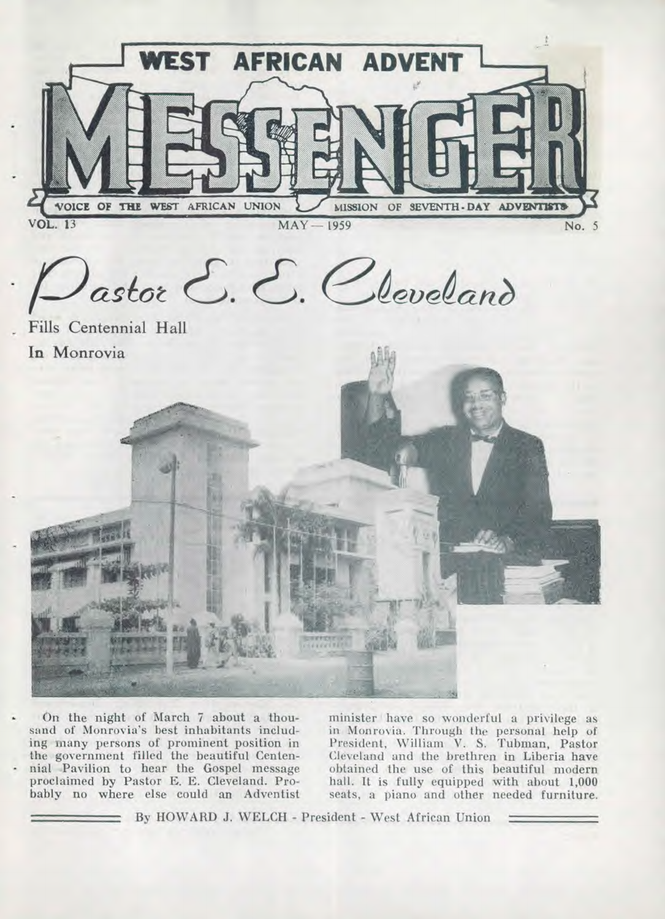

• On the night of March 7 about a thousand of Monrovia's best inhabitants including many persons of prominent position in the government filled the beautiful Centen nial Pavilion to hear the Gospel message proclaimed by Pastor E. E. Cleveland. Probably no where else could an Adventist

minister have so wonderful a privilege as in Monrovia. Through the personal help of President, William V. S. Tubman, Pastor Cleveland and the brethren in Liberia have obtained the use of this beautiful modern hall. It is fully equipped with about 1,000 seats, a piano and other needed furniture.

By HOWARD J. WELCH - President - West African Union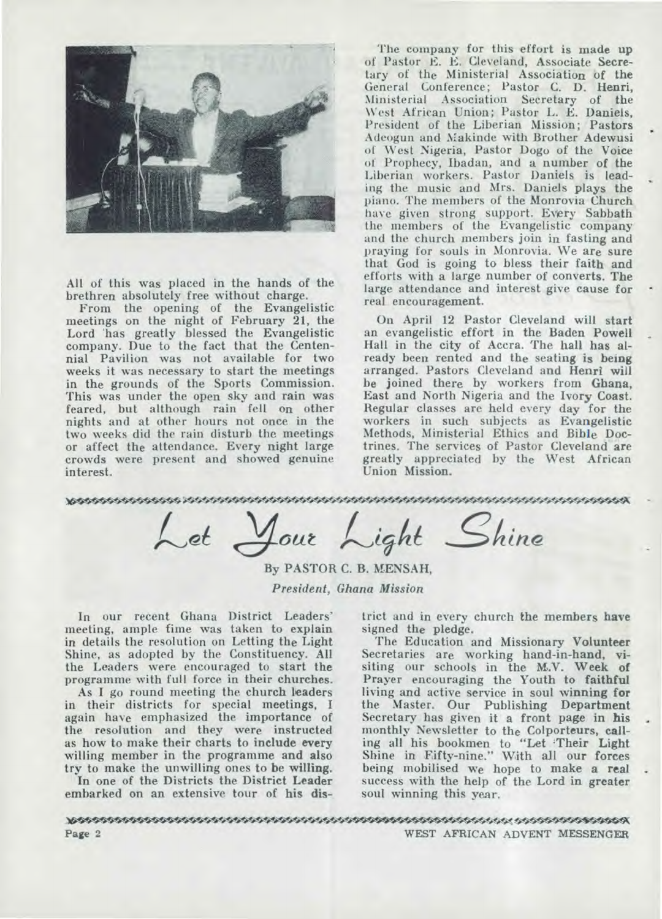

**All of this was placed in the hands of the brethren absolutely free without charge.** 

**From the opening of the Evangelistic meetings on the night of February 21, the Lord 'has greatly blessed the Evangelistic company. Due to the fact that the Centennial Pavilion was not available for two weeks it was necessary to start the meetings in** *the* **grounds of the Sports Commission. This was under the open sky and rain was feared, but although rain fell on other nights and at other hours not once in the two weeks did the rain disturb the meetings or affect the attendance. Every night large crowds were present and showed genuine interest.** 

**The company for this effort is made up of Pastor E. E. Cleveland, Associate Secretary of the Ministerial Association of the General Conference; Pastor C. D. Henri, Ministerial Association Secretary of the \Vest African Union; Pastor L. E. Daniels, President of the Liberian Mission; Pastors Adeogun and Makinde with Brother Adewusi of West Nigeria, Pastor Dogo of the Voice of Prophecy, Ibadan, and a number of** *the*  **Liberian workers. Pastor Daniels is leading the music and Mrs. Daniels plays the piano. The members of the Monrovia Church have given strong support. Every Sabbath the members of the Evangelistic company and the church members join in fasting and praying for souls in Monrovia. We are sure that God is going to bless their faith and efforts with a large number of converts. The large attendance and interest give cause for real encouragement.** 

**On April 12 Pastor Cleveland will start an evangelistic effort in the Baden Powell Hall in the city of Accra. The hall has already been rented and** *the* **seating is being arranged. Pastors Cleveland and Henri will**  *be* **joined there by workers from Ghana, East and North Nigeria and the Ivory Coast. Regular classes are held every** *day* **for the workers in such subjects as Evangelistic Methods, Ministerial Ethics and Bible Doctrines. The services of Pastor Cleveland are greatly appreciated by the West African Union Mission.** 

NIAK:4050WM\*0\*\*\*4

Let Your Light Shine

**By PASTOR C. B. MENSAH,**  *President, Ghana Mission* 

**In our recent Ghana District Leaders' meeting, ample fime was taken to explain in details the resolution on Letting the Light Shine, as adopted by the Constituency. All the Leaders were encouraged to start the programme with full force in their churches.** 

**As I go round meeting the church leaders in their districts for special meetings, I again have emphasized the importance of the resolution and they were instructed as how to make their charts to include every willing member in the programme and also try to make the unwilling ones to be willing.** 

**In one of the Districts the District Leader embarked on an extensive tour of his dis-** **trict and in every church the members have signed the pledge.** 

**The Education and Missionary Volunteer Secretaries are working hand-in-hand, visiting our schools in the M.V. Week of Prayer encouraging the Youth to faithful living and active service in soul winning for the Master. Our Publishing Department Secretary has given it a front page in his monthly Newsletter to the Colporteurs, calling all his bookmen to "Let 'Their Light Shine in Fifty-nine." With all our forces being mobilised we hope to make a real success with the help of the Lord in greater soul winning this year.** 

**Page 2**  VIAWOW244110244" **WEST AFRICAN ADVENT MESSENGER**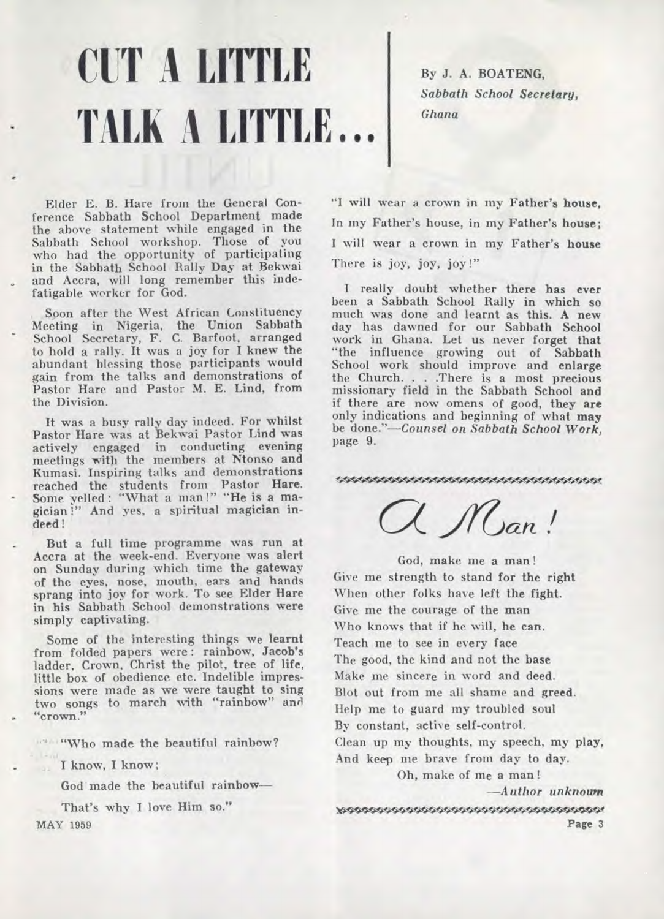## **CUT A LITTLE TALK A LITTLE...**

By J. A. BOATENG, *Sabbath School Secretary, Ghana* 

Elder E. B. Hare from the General Conference Sabbath School Department made the above statement while engaged in the Sabbath School workshop. Those of you who had the opportunity of participating in the Sabbath School Rally Day at Bekwai and Accra, will long remember this indefatigable worker for God.

Spon after the West African Constituency Meeting in Nigeria, the Union Sabbath School Secretary, F. C. Barfoot, arranged to hold a rally. It was a joy for I knew the abundant blessing those participants would gain from the talks and demonstrations of Pastor Hare and Pastor M. E. Lind, from the Division.

It was a busy rally day indeed. For whilst Pastor Hare was at Bekwai Pastor Lind was actively engaged in conducting evening meetings with the members at Ntonso and Kumasi. Inspiring talks and demonstrations reached the students from Pastor Hare. Some yelled : "What a man !" "He is a magician !" And yes, a spiritual magician indeed!

But a full time programme was run at Accra at the week-end. Everyone was alert on Sunday during which time the gateway of the eyes, nose, mouth, ears and hands sprang into joy for work. To see Elder Hare in his Sabbath School demonstrations were simply captivating.

Some of the interesting things we learnt from folded papers were : rainbow, Jacob's ladder, Crown, Christ the pilot, tree of life, little box of obedience etc. Indelible impressions were made as we were taught to sing two songs to march with "rainbow" and "crown."

" "Who made the beautiful rainbow?

I know, I know;

God made the beautiful rainbow—

That's why I love Him so." MAY **1959** 

"I will wear a crown in my Father's house, In my Father's house, in my Father's house; I will wear a crown in my Father's house There is joy, joy, joy!"

I really doubt whether there has ever been a Sabbath School Rally in which so much was done and learnt as this. A new day has dawned for our Sabbath School work in Ghana. Let us never forget that "the influence growing out of Sabbath School work should improve and enlarge the Church. . . .There is a most precious missionary field in the Sabbath School and if there are now omens of good, they are only indications and beginning of what may be *done."—Counsel on Sabbath School Work,*  page 9.

mananananananananan<br>C. Man!

God, make me a man ! Give me strength to stand for the right When other folks have left the fight. Give me the courage of the man Who knows that if he will, he can. Teach me to see in every face The good, the kind and not the base Make me sincere in word and deed. Blot out from me all shame and greed. Help me to guard my troubled soul By constant, active self-control. Clean up my thoughts, my speech, my play; And keep me brave from day to day.

Oh, make of me a man!

*—Author unknown* 

• **Page** 3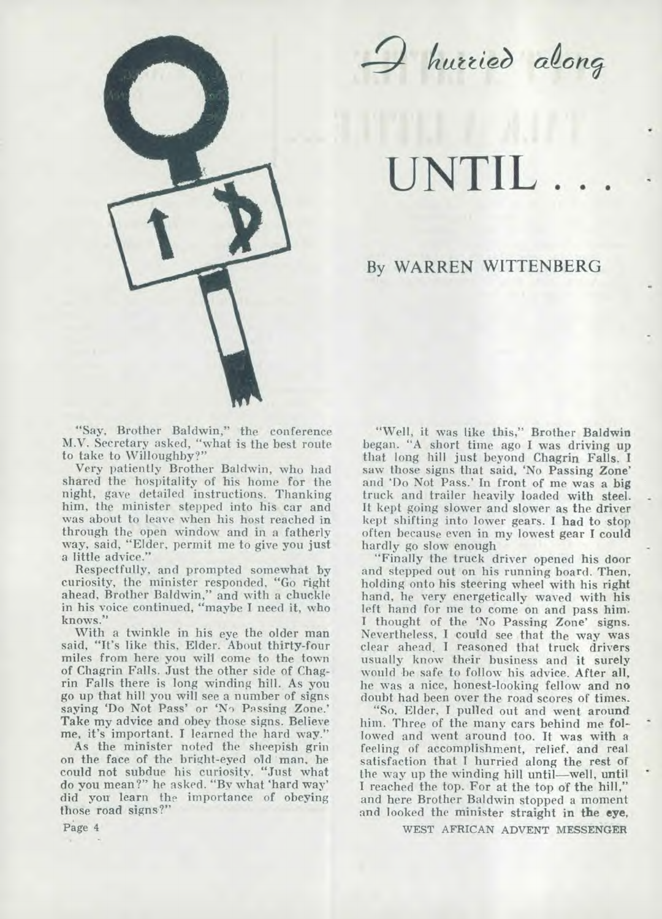

**UNTIL . . .** 

#### By WARREN WITTENBERG

"Say, Brother Baldwin," the conference M.V. Secretary asked, "what is the best route to take to Willoughby?"

Very patiently Brother Baldwin, who had shared the hospitality of his home for the night, gave detailed instructions. Thanking him, the minister stepped into his car and was about to leave when his host reached in through the open window and in a fatherly way, said, "Elder, permit me to give you just a little advice."

Respectfully, and prompted somewhat by curiosity, the minister responded, "Go right ahead, Brother Baldwin," and with a chuckle in his voice continued, "maybe I need it, who knows."

With a twinkle in his *eye* the older man said, "It's like this, Elder. About thirty-four miles from here you will come to the town of Chagrin Falls. Just the other side of Chagrin Falls there is long winding hill. As you go up that hill you will see a number of signs saying 'Do Not Pass' or 'No Passing Zone.' Take my advice and obey those signs. Believe me, it's important. I learned the hard way."

As the minister noted the sheepish grin on the face of the bright-eyed old man, he could not subdue his curiosity. "Just what do you mean?" he asked. "By what 'hard way' did you learn the importance of obeying those road signs?"

"Well, it was like this," Brother **Baldwin**  began. "A short time ago **I** was driving up that long hill just beyond Chagrin Falls. **<sup>I</sup>** saw those signs that said, 'No Passing Zone' and 'Do Not Pass.' In front of me was a **big**  truck and trailer heavily loaded with steel. It kept going slower and slower as the driver kept shifting into lower gears. I had to stop often because even in my lowest gear **I** could hardly go slow enough

"Finally the truck driver opened his door and stepped out on his running board. Then, holding onto his steering wheel with his right hand, he very energetically waved with his left hand for me to come on and pass him. I thought of the 'No Passing Zone' signs. Nevertheless, I could see that the way was clear ahead. I reasoned that truck drivers usually know their business and it surely would be safe to follow his advice. After all, he was a nice, honest-looking fellow and no doubt had been over the road scores of times.

"So, Elder, **I** pulled out and went around him. Three of the many cars behind me **followed** and went around too. It was with a feeling of accomplishment, relief, and real satisfaction that I hurried along the rest of the way up the winding hill until—well, until I reached the top. For at the top of the hill," and here Brother Baldwin stopped a moment and looked the minister straight **in the eye,** 

WEST AFRICAN ADVENT MESSENGER

Page 4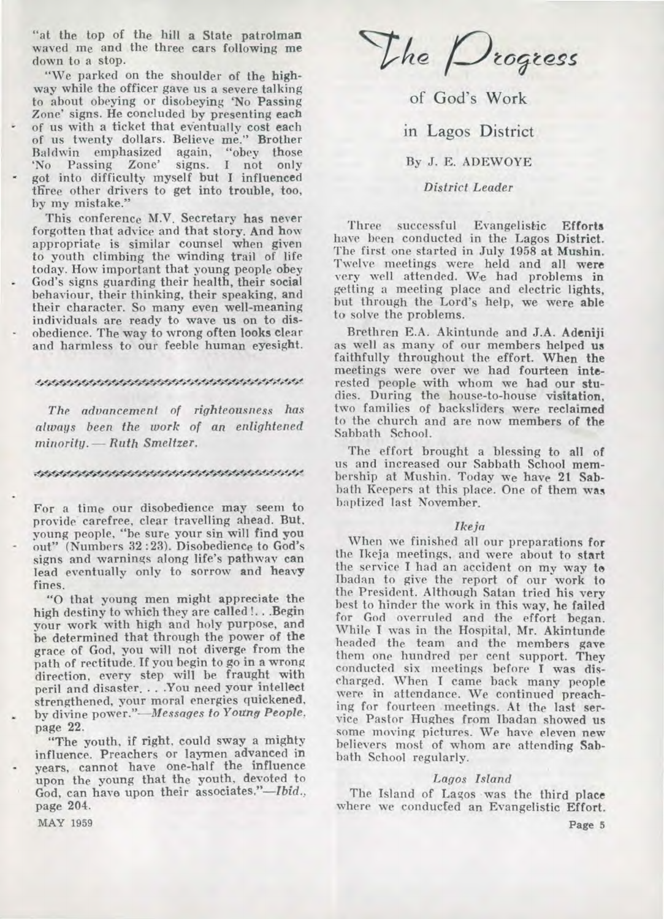**"at the top of the hill a State patrolman waved me and the three cars following me down to a stop.** 

**"We parked on the shoulder of the highway while the officer gave us a severe talking to about obeying or disobeying 'No Passing Zone' signs. He concluded by presenting each of us with a ticket that eventually cost each of us twenty dollars. Believe me." Brother Baldwin emphasized again, "obey those**  'No Passing Zone' **got into difficulty myself but I influenced three other drivers to get into trouble, too, by my mistake."** 

**This conference M.V. Secretary has never forgotten that advice and that story. And how appropriate is similar counsel when given to youth climbing the winding trail of life today. How important that young people obey God's signs guarding their health, their social behaviour, their thinking, their speaking, and their character. So many even well-meaning individuals are ready to wave us on to disobedience. The way to wrong often looks clear and harmless to our feeble human eyesight.** 

#### **•** -4W<

*The advancement of righteousness has always been the work of an enlightened minority. — Ruth Smeltzer.* 

#### \*\*\*\*\*\*\*\*\*\*\*\*\*\*\*\*\*\*\*\*\*\*\*\*\*\*\*\*\*\*\*\*\*\*\*

**For a time our disobedience may seem to provide carefree, clear travelling ahead. But, young people, "be sure your sin will find you out" (Numbers 32 :23). Disobedience to God's signs and warnings along life's pathway can lead eventually only to sorrow and heavy fines.** 

**"0 that young men might appreciate the high destiny to which they are called !. . .Begin your work with high and holy purpose, and be determined that through the power of the grace of God, you will not diverge from the path of rectitude. If you begin to go in a wrong direction, every step will be fraught with peril and disaster. . . .You need your intellect strengthened, your moral energies quickened, by divine** *power."—Messages to Young People,*  **page 22.** 

**"The youth, if right, could sway a mighty influence. Preachers or laymen advanced in years, cannot have one-half the influence upon the young that the youth, devoted to God, can have upon their associates."—Ibid., page 204.** 

The *Drogress* 

of God's Work

in Lagos District

**By J. E. ADEWOYE** 

#### *District Leader*

**Three successful Evangelistic Efforts have been conducted in the Lagos District. The first one started in July 1958 at Mushin. Twelve meetings were held and all were very well attended. We had problems in getting a meeting place and electric lights, but through the Lord's help, we were able to solve the problems.** 

**Brethren E.A. Akintunde and J.A. Adeniji as well as many of our members helped us faithfully throughout the effort. When the meetings were over we had fourteen interested people with whom we had our studies. During the house-to-house visitation, two families of backsliders were reclaimed to the church and are now members of the Sabbath School.** 

**The effort brought a blessing to all of us and increased our Sabbath School membership at Mushin. Today we have 21 Sabbath Keepers at this place. One of them was baptized last November.** 

#### *Ikeja*

**When we finished all our preparations for the Ikeja meetings, and were about to start the service I had an accident on my way to Ibadan to give the report of our work to the President. Although Satan tried his very best to hinder the work in this way, he failed for God overruled and the effort began. While I was in the Hospital, Mr. Akintunde headed the team and the members gave them one hundred per cent support. They conducted six meetings before I was discharged. When I came back many people were in attendance. We continued preaching for fourteen meetings. At the last service Pastor Hughes from Ibadan showed us some moving pictures. We have eleven new believers most of whom are attending Sabbath School regularly.** 

#### *Lagos Island*

**The Island of Lagos was the third place where we conducfed an Evangelistic Effort.** 

**MAY 1959**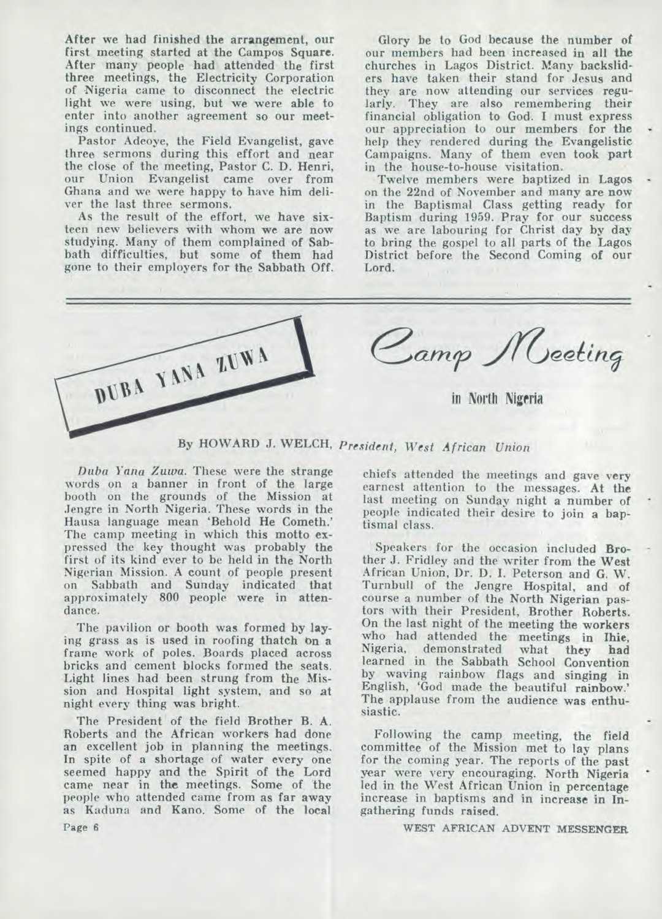**After we had finished the arrangement, our first meeting started at the Campos Square. After many people had attended the first three meetings, the Electricity Corporation of Nigeria came to disconnect the electric light we were using, but we were able to enter into another agreement so our meetings continued.** 

**Pastor Adeoye, the Field Evangelist, gave three sermons during this effort and near the close of the meeting, Pastor C. D. Henri, our Union Evangelist came over from Ghana and we were happy to have him deliver the last three sermons.** 

**As the result of the effort, we have sixteen new believers with whom we are now studying. Many of them complained of Sabbath difficulties, but some of them had gone to their employers for the Sabbath Off.** 

**Glory be to God because the number of our members had been increased in all the churches in Lagos District. Many backsliders have taken their stand for Jesus and they are now attending our services regularly. They are also remembering their financial obligation to God. I must express our appreciation to our members for the help they rendered during the Evangelistic Campaigns. Many of them even took part in the house-to-house visitation.** 

**Twelve members were baptized in Lagos on the 22nd of November and many are now in the Baptismal Class getting ready for Baptism during 1959. Pray for our success as we are labouring for Christ day by day to bring the gospel to all parts of the Lagos District before the Second Coming of our Lord.** 



**By HOWARD J. WELCH,** *President, West African Union* 

*Duba Yana Zuwa.* **These were the strange words on a banner in front of the large booth on the grounds of the Mission at Jengre in North Nigeria. These words in the Hausa language mean `Behold He Cometh.' The camp meeting in which this motto expressed the key thought was probably the first of its kind ever to be held in the North Nigerian Mission. A count of people present on Sabbath and Sunday indicated that approximately 800 people were in attendance.** 

**The pavilion or booth was formed by laying grass as is used in roofing thatch on a frame work of poles. Boards placed across bricks and cement blocks formed the seats. Light lines had been strung from the Mission and Hospital light system, and so at night every thing was bright.** 

**The President of the field Brother B. A. Roberts and the African workers had done an excellent job in planning the meetings. In spite of a shortage of water every one seemed happy and the Spirit of the Lord came near in the meetings. Some of 'the people who attended came from as far away as Kaduna and Kano. Some of the local** 

**chiefs attended the meetings and gave very earnest attention to the messages. At the last meeting on Sunday night a number of people indicated their desire to join a baptismal class.** 

**Speakers for the occasion included Brother J. Fridley and the writer from the West African Union, Dr. D. I. Peterson and G. W. Turnbull of the Jengre Hospital, and of course a number of the North Nigerian pastors with their President, Brother Roberts. On the last night of the meeting the workers who had attended the meetings in Ihie,**  Nigeria, demonstrated **learned in the Sabbath School Convention by waving rainbow flags and singing in English, 'God made the beautiful rainbow.' The applause from the audience was enthusiastic.** 

**Following the camp meeting, the field committee of the Mission met to lay plans for the coming year. The reports of the past year were very encouraging. North Nigeria led in the West African Union in percentage increase in baptisms and in increase in Ingathering funds raised.** 

**WEST AFRICAN ADVENT MESSENGER** 

**Page 6**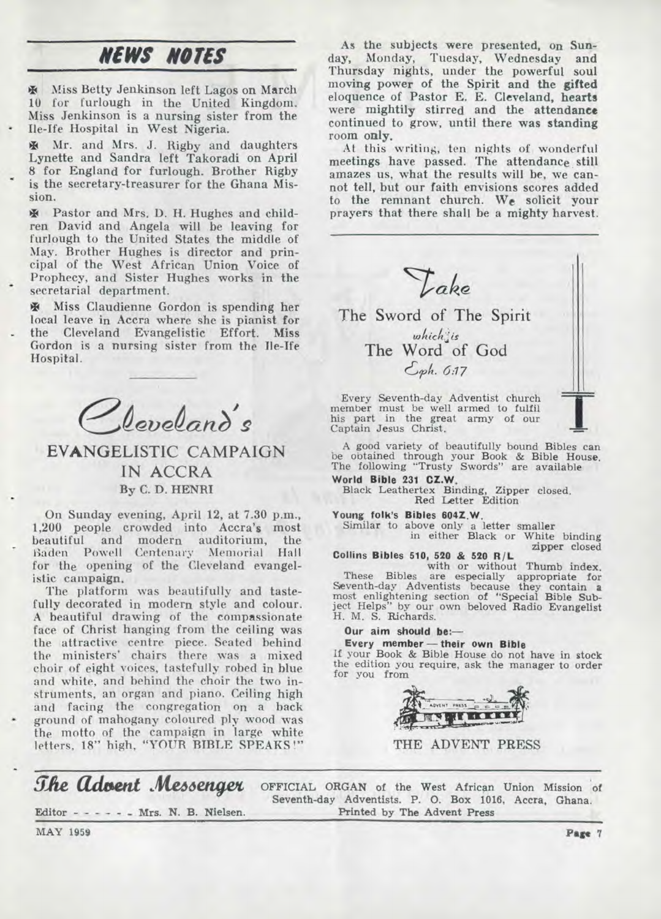### *NEWS NOTES*

**\* Miss Betty Jenkinson left Lagos on March 10 for furlough in the United Kingdom, Miss Jenkinson is a nursing sister from the • Ile-Ife Hospital in West Nigeria.** 

**\* Mr. and Mrs. J. Rigby and daughters Lynette and Sandra left Takoradi on April 8 for England for furlough. Brother Rigby**  is the secretary-treasurer for the Ghana Mis**sion.** 

**\* Pastor and Mrs. D. H. Hughes and children David and Angela will be leaving for furlough to the United States the middle of May. Brother Hughes is director and principal of the West African Union Voice of Prophecy, and Sister Hughes works in the • secretarial department.** 

**\* Miss Claudienne Gordon is spending her local leave in Accra where she is pianist for the Cleveland Evangelistic Effort. Miss Gordon is a nursing sister from the Ile-Ife Hospital.** 

 ${\cal Q}_{\ell}$ eveland's

**EVANGELISTIC CAMPAIGN IN ACCRA By C. D. HENRI** 

**On Sunday evening, April 12, at 7.30 p.m., 1,200 people crowded into Accra's most**  beautiful and modern auditorium, Baden Powell Centenary Memorial Hall **for the opening of the Cleveland evangelistic campaign.** 

**The platform was beautifully and tastefully decorated in modern style and colour. A beautiful drawing of the compassionate face of Christ hanging from the ceiling was the attractive centre piece. Seated behind the ministers' chairs there was a mixed choir of eight voices, tastefully robed in blue and white, and behind the choir the two instruments, an organ and piano. Ceiling high and facing the congregation on a back • ground of mahogany coloured ply wood was the motto of the campaign in large white letters, 18" high, "YOUR BIBLE SPEAKS !"** 

**As the subjects were presented, on Sunday, Monday, Tuesday, Wednesday and Thursday nights, under the powerful soul moving power of the Spirit and the gifted eloquence of Pastor E. E. Cleveland, hearts were mightily stirred and the attendance continued to grow, until there was standing room only.** 

At this writing, ten nights of wonderful **meetings have passed. The attendance**, **still amazes us, what the results will be, we cannot tell, but our faith envisions scores added to the remnant church. We solicit your prayers that there shall be a mighty harvest.** 



**his part in the great army of our Captain Jesus Christ.** 

**A good variety of beautifully bound Bibles can be obtained through your Book & Bible House. The following "Trusty Swords" are available World Bible 231 CZ.W,** 

**Black Leathertex Binding, Zipper closed. Red Letter Edition** 

**Young folk's Bibles 004Z.W.**  Similar **to above only a letter smaller in either Black or White binding**  zipper **closed** 

**Collins Bibles 510, 520 & 520 R/L**<br>with or without Thumb index.

**with or without Thumb index. These Bibles are especially appropriate for Seventh-day Adventists because they contain a most enlightening section of "Special Bible Subject Helps" by our own beloved Radio Evangelist H. M. S. Richards.** 

**Our aim should be:—** 

**Every member — their own Bible If your Book & Bible House do not have in stock the edition you require, ask the manager to order for you from** 



**THE ADVENT PRESS** 

*She Advent Messenger* Editor - - - - - - Mrs. N. B. Nielsen. **OFFICIAL ORGAN of the West** African Union Mission **of Seventh-day Adventists. P. 0. Box** 1016, Accra, **Ghana. Printed by The Advent Press** 

**MAY 1959 Page** 7